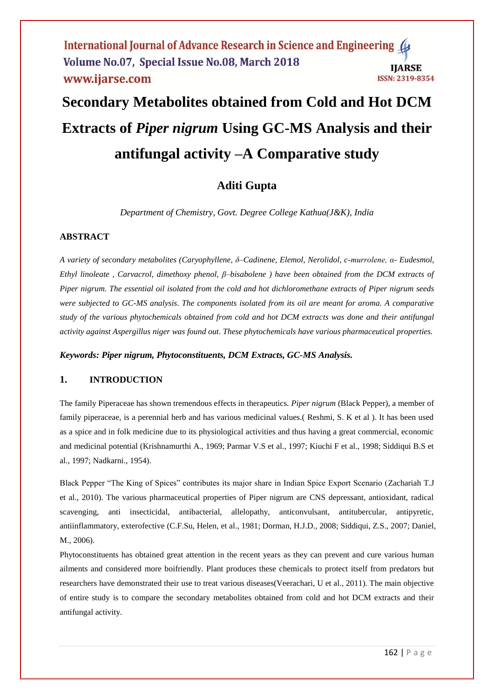International Journal of Advance Research in Science and Engineering ( Volume No.07, Special Issue No.08, March 2018 **IJARSE** www.ijarse.com **ISSN: 2319-8354** 

# **Secondary Metabolites obtained from Cold and Hot DCM Extracts of** *Piper nigrum* **Using GC-MS Analysis and their antifungal activity –A Comparative study**

# **Aditi Gupta**

*Department of Chemistry, Govt. Degree College Kathua(J&K), India*

# **ABSTRACT**

*A variety of secondary metabolites (Caryophyllene, δ–Cadinene, Elemol, Nerolidol, c-murrolene, α- Eudesmol, Ethyl linoleate , Carvacrol, dimethoxy phenol, β–bisabolene ) have been obtained from the DCM extracts of Piper nigrum. The essential oil isolated from the cold and hot dichloromethane extracts of Piper nigrum seeds were subjected to GC-MS analysis. The components isolated from its oil are meant for aroma. A comparative study of the various phytochemicals obtained from cold and hot DCM extracts was done and their antifungal activity against Aspergillus niger was found out. These phytochemicals have various pharmaceutical properties.*

*Keywords: Piper nigrum, Phytoconstituents, DCM Extracts, GC-MS Analysis.*

# **1. INTRODUCTION**

The family Piperaceae has shown tremendous effects in therapeutics. *Piper nigrum* (Black Pepper), a member of family piperaceae, is a perennial herb and has various medicinal values.( Reshmi, S. K et al ). It has been used as a spice and in folk medicine due to its physiological activities and thus having a great commercial, economic and medicinal potential (Krishnamurthi A., 1969; Parmar V.S et al., 1997; Kiuchi F et al., 1998; Siddiqui B.S et al., 1997; Nadkarni., 1954).

Black Pepper "The King of Spices" contributes its major share in Indian Spice Export Scenario (Zachariah T.J et al., 2010). The various pharmaceutical properties of Piper nigrum are CNS depressant, antioxidant, radical scavenging, anti insecticidal, antibacterial, allelopathy, anticonvulsant, antitubercular, antipyretic, antiinflammatory, exterofective (C.F.Su, Helen, et al., 1981; Dorman, H.J.D., 2008; Siddiqui, Z.S., 2007; Daniel, M., 2006).

Phytoconstituents has obtained great attention in the recent years as they can prevent and cure various human ailments and considered more boifriendly. Plant produces these chemicals to protect itself from predators but researchers have demonstrated their use to treat various diseases(Veerachari, U et al., 2011). The main objective of entire study is to compare the secondary metabolites obtained from cold and hot DCM extracts and their antifungal activity.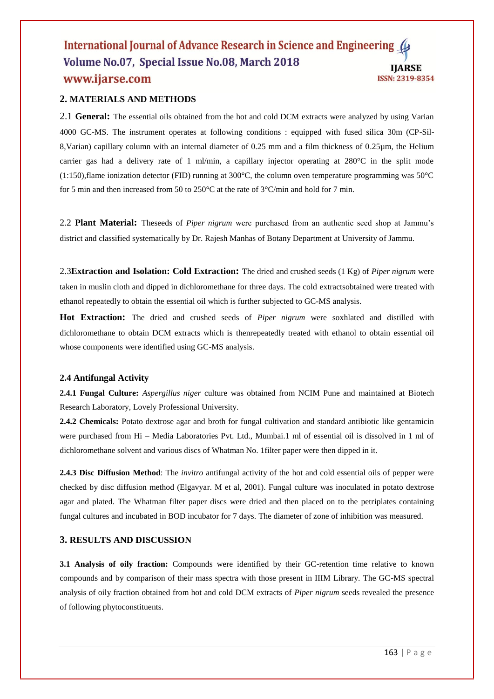#### International Journal of Advance Research in Science and Engineering Volume No.07, Special Issue No.08, March 2018 **IJARSE** www.ijarse.com **ISSN: 2319-8354**

# **2. MATERIALS AND METHODS**

2.1 **General:** The essential oils obtained from the hot and cold DCM extracts were analyzed by using Varian 4000 GC-MS. The instrument operates at following conditions : equipped with fused silica 30m (CP-Sil-8,Varian) capillary column with an internal diameter of 0.25 mm and a film thickness of 0.25µm, the Helium carrier gas had a delivery rate of 1 ml/min, a capillary injector operating at 280°C in the split mode (1:150),flame ionization detector (FID) running at 300°C, the column oven temperature programming was 50°C for 5 min and then increased from 50 to 250°C at the rate of 3°C/min and hold for 7 min.

2.2 **Plant Material:** Theseeds of *Piper nigrum* were purchased from an authentic seed shop at Jammu's district and classified systematically by Dr. Rajesh Manhas of Botany Department at University of Jammu.

2.3**Extraction and Isolation: Cold Extraction:** The dried and crushed seeds (1 Kg) of *Piper nigrum* were taken in muslin cloth and dipped in dichloromethane for three days. The cold extractsobtained were treated with ethanol repeatedly to obtain the essential oil which is further subjected to GC-MS analysis.

**Hot Extraction:** The dried and crushed seeds of *Piper nigrum* were soxhlated and distilled with dichloromethane to obtain DCM extracts which is thenrepeatedly treated with ethanol to obtain essential oil whose components were identified using GC-MS analysis.

### **2.4 Antifungal Activity**

**2.4.1 Fungal Culture:** *Aspergillus niger* culture was obtained from NCIM Pune and maintained at Biotech Research Laboratory, Lovely Professional University.

**2.4.2 Chemicals:** Potato dextrose agar and broth for fungal cultivation and standard antibiotic like gentamicin were purchased from Hi – Media Laboratories Pvt. Ltd., Mumbai.1 ml of essential oil is dissolved in 1 ml of dichloromethane solvent and various discs of Whatman No. 1filter paper were then dipped in it.

**2.4.3 Disc Diffusion Method**: The *invitro* antifungal activity of the hot and cold essential oils of pepper were checked by disc diffusion method (Elgavyar. M et al, 2001). Fungal culture was inoculated in potato dextrose agar and plated. The Whatman filter paper discs were dried and then placed on to the petriplates containing fungal cultures and incubated in BOD incubator for 7 days. The diameter of zone of inhibition was measured.

# **3. RESULTS AND DISCUSSION**

**3.1 Analysis of oily fraction:** Compounds were identified by their GC-retention time relative to known compounds and by comparison of their mass spectra with those present in IIIM Library. The GC-MS spectral analysis of oily fraction obtained from hot and cold DCM extracts of *Piper nigrum* seeds revealed the presence of following phytoconstituents.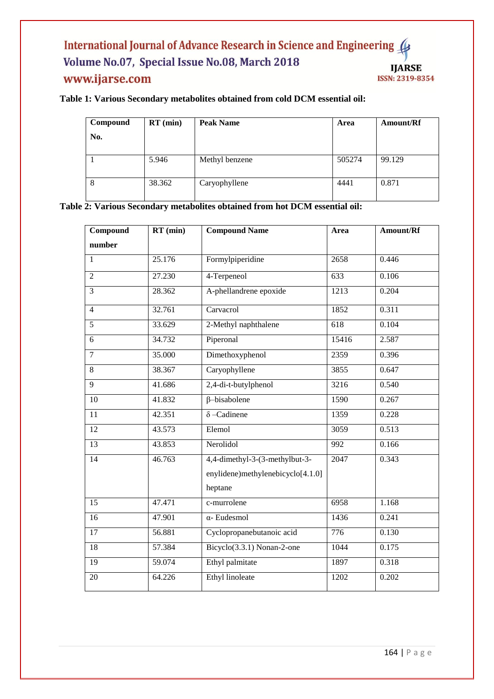# International Journal of Advance Research in Science and Engineering ( Volume No.07, Special Issue No.08, March 2018 www.ijarse.com

# **IJARSE** ISSN: 2319-8354

# **Table 1: Various Secondary metabolites obtained from cold DCM essential oil:**

| Compound<br>No. | $RT$ (min) | <b>Peak Name</b> | Area   | Amount/Rf |
|-----------------|------------|------------------|--------|-----------|
|                 | 5.946      | Methyl benzene   | 505274 | 99.129    |
| 8               | 38.362     | Caryophyllene    | 4441   | 0.871     |

**Table 2: Various Secondary metabolites obtained from hot DCM essential oil:**

| Compound       | $RT$ (min) | <b>Compound Name</b>                                                           | <b>Area</b>      | Amount/Rf |
|----------------|------------|--------------------------------------------------------------------------------|------------------|-----------|
| number         |            |                                                                                |                  |           |
| 1              | 25.176     | Formylpiperidine                                                               | 2658             | 0.446     |
| $\overline{2}$ | 27.230     | 4-Terpeneol                                                                    | 633              | 0.106     |
| $\overline{3}$ | 28.362     | A-phellandrene epoxide                                                         | 1213             | 0.204     |
| $\overline{4}$ | 32.761     | Carvacrol                                                                      | 1852             | 0.311     |
| $\overline{5}$ | 33.629     | 2-Methyl naphthalene                                                           | $\overline{618}$ | 0.104     |
| $\overline{6}$ | 34.732     | Piperonal                                                                      | 15416            | 2.587     |
| $\overline{7}$ | 35.000     | Dimethoxyphenol                                                                | 2359             | 0.396     |
| $\overline{8}$ | 38.367     | Caryophyllene                                                                  | 3855             | 0.647     |
| 9              | 41.686     | 2,4-di-t-butylphenol                                                           | 3216             | 0.540     |
| 10             | 41.832     | $\beta$ -bisabolene                                                            | 1590             | 0.267     |
| 11             | 42.351     | $\delta$ -Cadinene                                                             | 1359             | 0.228     |
| 12             | 43.573     | Elemol                                                                         | 3059             | 0.513     |
| 13             | 43.853     | Nerolidol                                                                      | 992              | 0.166     |
| 14             | 46.763     | 4,4-dimethyl-3-(3-methylbut-3-<br>enylidene)methylenebicyclo[4.1.0]<br>heptane | 2047             | 0.343     |
| 15             | 47.471     | c-murrolene                                                                    | 6958             | 1.168     |
| 16             | 47.901     | $\alpha$ - Eudesmol                                                            | 1436             | 0.241     |
| 17             | 56.881     | Cyclopropanebutanoic acid                                                      | 776              | 0.130     |
| 18             | 57.384     | Bicyclo $(3.3.1)$ Nonan-2-one                                                  | 1044             | 0.175     |
| 19             | 59.074     | Ethyl palmitate                                                                | 1897             | 0.318     |
| 20             | 64.226     | <b>Ethyl</b> linoleate                                                         | 1202             | 0.202     |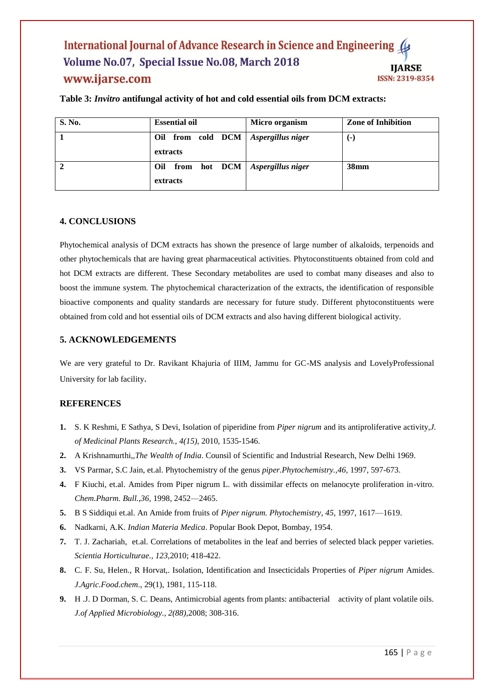### International Journal of Advance Research in Science and Engineering Volume No.07, Special Issue No.08, March 2018 **IJARSE** www.ijarse.com **ISSN: 2319-8354**

| <b>S. No.</b>  | <b>Essential oil</b>                            | Micro organism | <b>Zone of Inhibition</b> |
|----------------|-------------------------------------------------|----------------|---------------------------|
|                | Oil from cold DCM Aspergillus niger<br>extracts |                | ( – )                     |
| $\overline{2}$ | Oil from hot DCM Aspergillus niger<br>extracts  |                | 38 <sub>mm</sub>          |

**Table 3:** *Invitro* **antifungal activity of hot and cold essential oils from DCM extracts:**

# **4. CONCLUSIONS**

Phytochemical analysis of DCM extracts has shown the presence of large number of alkaloids, terpenoids and other phytochemicals that are having great pharmaceutical activities. Phytoconstituents obtained from cold and hot DCM extracts are different. These Secondary metabolites are used to combat many diseases and also to boost the immune system. The phytochemical characterization of the extracts, the identification of responsible bioactive components and quality standards are necessary for future study. Different phytoconstituents were obtained from cold and hot essential oils of DCM extracts and also having different biological activity.

## **5. ACKNOWLEDGEMENTS**

We are very grateful to Dr. Ravikant Khajuria of IIIM, Jammu for GC-MS analysis and LovelyProfessional University for lab facility.

# **REFERENCES**

- **1.** S. K Reshmi, E Sathya, S Devi, Isolation of piperidine from *Piper nigrum* and its antiproliferative activity,*J. of Medicinal Plants Research., 4(15)*, 2010, 1535-1546.
- **2.** A Krishnamurthi,,*The Wealth of India*. Counsil of Scientific and Industrial Research, New Delhi 1969.
- **3.** VS Parmar, S.C Jain, et.al. Phytochemistry of the genus *piper.Phytochemistry.,46,* 1997, 597-673.
- **4.** F Kiuchi, et.al. Amides from Piper nigrum L. with dissimilar effects on melanocyte proliferation in-vitro. *Chem.Pharm. Bull.,36,* 1998, 2452—2465.
- **5.** B S Siddiqui et.al. An Amide from fruits of *Piper nigrum. Phytochemistry*, *45*, 1997, 1617—1619.
- **6.** Nadkarni, A.K. *Indian Materia Medica*. Popular Book Depot, Bombay, 1954.
- **7.** T. J. Zachariah, et.al. Correlations of metabolites in the leaf and berries of selected black pepper varieties. *Scientia Horticulturae., 123,*2010; 418-422.
- **8.** C. F. Su, Helen., R Horvat,. Isolation, Identification and Insecticidals Properties of *Piper nigrum* Amides. *J.Agric.Food.chem*., 29(1), 1981, 115-118.
- **9.** H .J. D Dorman, S. C. Deans, Antimicrobial agents from plants: antibacterial activity of plant volatile oils. *J.of Applied Microbiology., 2(88),*2008; 308-316.